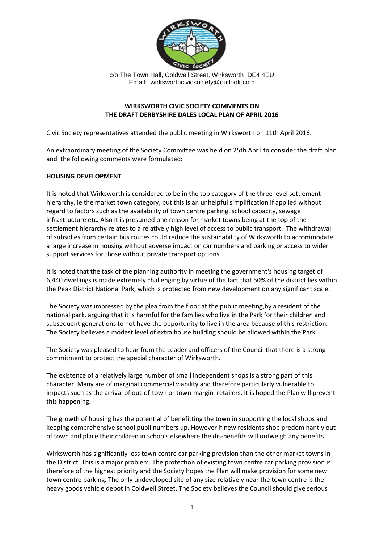

c/o The Town Hall, Coldwell Street, Wirksworth DE4 4EU Email: wirksworthcivicsociety@outlook.com

## **WIRKSWORTH CIVIC SOCIETY COMMENTS ON THE DRAFT DERBYSHIRE DALES LOCAL PLAN OF APRIL 2016**

Civic Society representatives attended the public meeting in Wirksworth on 11th April 2016.

An extraordinary meeting of the Society Committee was held on 25th April to consider the draft plan and the following comments were formulated:

## **HOUSING DEVELOPMENT**

It is noted that Wirksworth is considered to be in the top category of the three level settlementhierarchy, ie the market town category, but this is an unhelpful simplification if applied without regard to factors such as the availability of town centre parking, school capacity, sewage infrastructure etc. Also it is presumed one reason for market towns being at the top of the settlement hierarchy relates to a relatively high level of access to public transport. The withdrawal of subsidies from certain bus routes could reduce the sustainability of Wirksworth to accommodate a large increase in housing without adverse impact on car numbers and parking or access to wider support services for those without private transport options.

It is noted that the task of the planning authority in meeting the government's housing target of 6,440 dwellings is made extremely challenging by virtue of the fact that 50% of the district lies within the Peak District National Park, which is protected from new development on any significant scale.

The Society was impressed by the plea from the floor at the public meeting,by a resident of the national park, arguing that it is harmful for the families who live in the Park for their children and subsequent generations to not have the opportunity to live in the area because of this restriction. The Society believes a modest level of extra house building should be allowed within the Park.

The Society was pleased to hear from the Leader and officers of the Council that there is a strong commitment to protect the special character of Wirksworth.

The existence of a relatively large number of small independent shops is a strong part of this character. Many are of marginal commercial viability and therefore particularly vulnerable to impacts such as the arrival of out-of-town or town-margin retailers. It is hoped the Plan will prevent this happening.

The growth of housing has the potential of benefitting the town in supporting the local shops and keeping comprehensive school pupil numbers up. However if new residents shop predominantly out of town and place their children in schools elsewhere the dis-benefits will outweigh any benefits.

Wirksworth has significantly less town centre car parking provision than the other market towns in the District. This is a major problem. The protection of existing town centre car parking provision is therefore of the highest priority and the Society hopes the Plan will make provision for some new town centre parking. The only undeveloped site of any size relatively near the town centre is the heavy goods vehicle depot in Coldwell Street. The Society believes the Council should give serious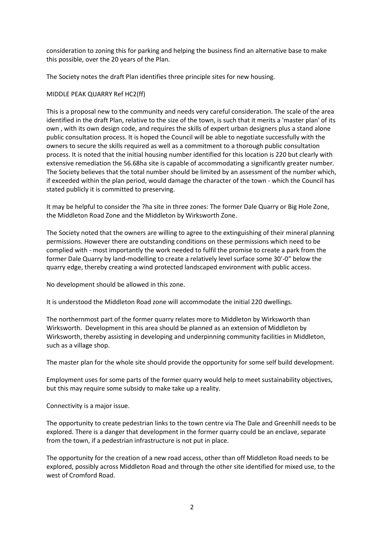consideration to zoning this for parking and helping the business find an alternative base to make this possible, over the 20 years of the Plan.

The Society notes the draft Plan identifies three principle sites for new housing.

#### MIDDLE PEAK QUARRY Ref HC2(ff)

This is a proposal new to the community and needs very careful consideration. The scale of the area identified in the draft Plan, relative to the size of the town, is such that it merits a 'master plan' of its own , with its own design code, and requires the skills of expert urban designers plus a stand alone public consultation process. It is hoped the Council will be able to negotiate successfully with the owners to secure the skills required as well as a commitment to a thorough public consultation process. It is noted that the initial housing number identified for this location is 220 but clearly with extensive remediation the 56.68ha site is capable of accommodating a significantly greater number. The Society believes that the total number should be limited by an assessment of the number which, if exceeded within the plan period, would damage the character of the town - which the Council has stated publicly it is committed to preserving.

It may be helpful to consider the ?ha site in three zones: The former Dale Quarry or Big Hole Zone, the Middleton Road Zone and the Middleton by Wirksworth Zone.

The Society noted that the owners are willing to agree to the extinguishing of their mineral planning permissions. However there are outstanding conditions on these permissions which need to be complied with - most importantly the work needed to fulfil the promise to create a park from the former Dale Quarry by land-modelling to create a relatively level surface some 30'-0" below the quarry edge, thereby creating a wind protected landscaped environment with public access.

No development should be allowed in this zone.

It is understood the Middleton Road zone will accommodate the initial 220 dwellings.

The northernmost part of the former quarry relates more to Middleton by Wirksworth than Wirksworth. Development in this area should be planned as an extension of Middleton by Wirksworth, thereby assisting in developing and underpinning community facilities in Middleton, such as a village shop.

The master plan for the whole site should provide the opportunity for some self build development.

Employment uses for some parts of the former quarry would help to meet sustainability objectives, but this may require some subsidy to make take up a reality.

Connectivity is a major issue.

The opportunity to create pedestrian links to the town centre via The Dale and Greenhill needs to be explored. There is a danger that development in the former quarry could be an enclave, separate from the town, if a pedestrian infrastructure is not put in place.

The opportunity for the creation of a new road access, other than off Middleton Road needs to be explored, possibly across Middleton Road and through the other site identified for mixed use, to the west of Cromford Road.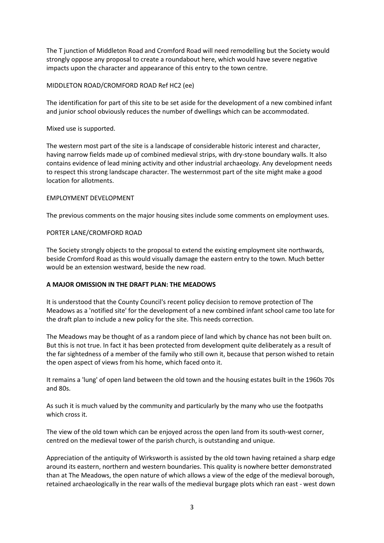The T junction of Middleton Road and Cromford Road will need remodelling but the Society would strongly oppose any proposal to create a roundabout here, which would have severe negative impacts upon the character and appearance of this entry to the town centre.

# MIDDLETON ROAD/CROMFORD ROAD Ref HC2 (ee)

The identification for part of this site to be set aside for the development of a new combined infant and junior school obviously reduces the number of dwellings which can be accommodated.

## Mixed use is supported.

The western most part of the site is a landscape of considerable historic interest and character, having narrow fields made up of combined medieval strips, with dry-stone boundary walls. It also contains evidence of lead mining activity and other industrial archaeology. Any development needs to respect this strong landscape character. The westernmost part of the site might make a good location for allotments.

## EMPLOYMENT DEVELOPMENT

The previous comments on the major housing sites include some comments on employment uses.

## PORTER LANE/CROMFORD ROAD

The Society strongly objects to the proposal to extend the existing employment site northwards, beside Cromford Road as this would visually damage the eastern entry to the town. Much better would be an extension westward, beside the new road.

#### **A MAJOR OMISSION IN THE DRAFT PLAN: THE MEADOWS**

It is understood that the County Council's recent policy decision to remove protection of The Meadows as a 'notified site' for the development of a new combined infant school came too late for the draft plan to include a new policy for the site. This needs correction.

The Meadows may be thought of as a random piece of land which by chance has not been built on. But this is not true. In fact it has been protected from development quite deliberately as a result of the far sightedness of a member of the family who still own it, because that person wished to retain the open aspect of views from his home, which faced onto it.

It remains a 'lung' of open land between the old town and the housing estates built in the 1960s 70s and 80s.

As such it is much valued by the community and particularly by the many who use the footpaths which cross it.

The view of the old town which can be enjoyed across the open land from its south-west corner, centred on the medieval tower of the parish church, is outstanding and unique.

Appreciation of the antiquity of Wirksworth is assisted by the old town having retained a sharp edge around its eastern, northern and western boundaries. This quality is nowhere better demonstrated than at The Meadows, the open nature of which allows a view of the edge of the medieval borough, retained archaeologically in the rear walls of the medieval burgage plots which ran east - west down